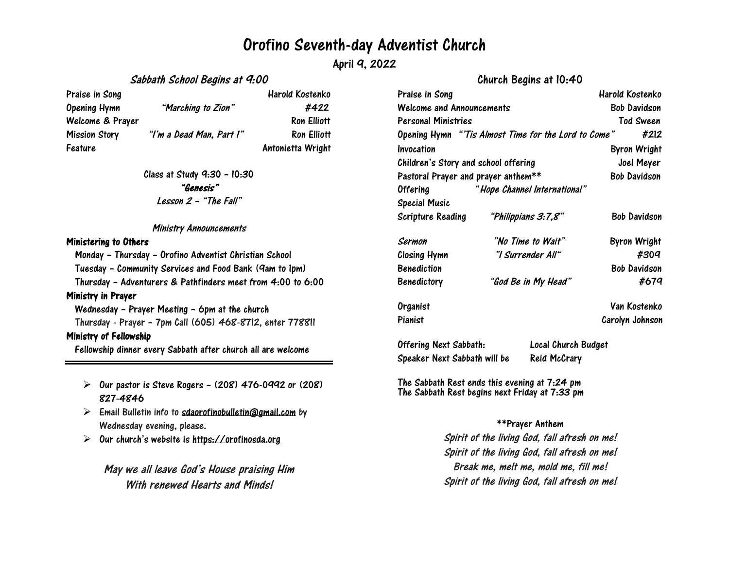## Orofino Seventh-day Adventist Church

April 9, 2022

Sabbath School Begins at 9:00

Praise in Song National Contract of the Harold Kostenko Opening Hymn "Marching to Zion" #422 Welcome & Prayer Ron Elliott Mission Story "I'm a Dead Man, Part I" Ron Elliott Feature **Antonietta** Wright

Class at Study 9:30 – 10:30 "Genesis" Lesson <sup>2</sup> – "The Fall"

#### Ministry Announcements

#### Ministering to Others

Monday – Thursday – Orofino Adventist Christian School Tuesday – Community Services and Food Bank (9am to 1pm) Thursday – Adventurers & Pathfinders meet from 4:00 to 6:00 Ministry in Prayer Wednesday – Prayer Meeting – 6pm at the church Thursday - Prayer – 7pm Call (605) 468-8712, enter 778811 Ministry of Fellowship Fellowship dinner every Sabbath after church all are welcome

- $\triangleright$  Our pastor is Steve Rogers (208) 476-0992 or (208) 827-4846
- $\triangleright$  Email Bulletin info to [sdaorofinobulletin@gmail.com](mailto:sdaorofinobulletin@gmail.com) by Wednesday evening, please.
- $\triangleright$ Our church's website is [https://orofinosda.org](https://orofinosda.org/)

May we all leave God's House praising Him With renewed Hearts and Minds!

|  | Praise in Song<br>Welcome and Announcements<br><b>Personal Ministries</b> |                                                     | Harold Kostenko           |  |
|--|---------------------------------------------------------------------------|-----------------------------------------------------|---------------------------|--|
|  |                                                                           |                                                     | Bob Davidson<br>Tod Sween |  |
|  |                                                                           |                                                     |                           |  |
|  |                                                                           | Opening Hymn "Tis Almost Time for the Lord to Come" | #212                      |  |
|  | Invocation                                                                |                                                     | <b>Byron Wright</b>       |  |
|  | Children's Story and school offering                                      |                                                     | Joel Meyer                |  |
|  | Pastoral Prayer and prayer anthem**                                       |                                                     | <b>Bob Davidson</b>       |  |
|  | <b>Offering</b>                                                           | "Hope Channel International"                        |                           |  |
|  | <b>Special Music</b>                                                      |                                                     |                           |  |
|  | <b>Scripture Reading</b>                                                  | "Philippians 3:7,8"                                 | <b>Bob Davidson</b>       |  |
|  | Sermon                                                                    | "No Time to Wait"                                   | <b>Byron Wright</b>       |  |
|  | <b>Closing Hymn</b>                                                       | "I Surrender All"                                   | #309                      |  |
|  | <b>Benediction</b>                                                        |                                                     | <b>Bob Davidson</b>       |  |
|  | <b>Benedictory</b>                                                        | "God Be in My Head"                                 | #679                      |  |
|  | Organist                                                                  |                                                     | Van Kostenko              |  |
|  | Pianist                                                                   |                                                     | Carolvn Johnson           |  |

Church Begins at 10:40

Offering Next Sabbath: Local Church Budget Speaker Next Sabbath will be Reid McCrary

The Sabbath Rest ends this evening at 7:24 pm The Sabbath Rest begins next Friday at 7:33 pm

### \*\*Prayer Anthem

Spirit of the living God, fall afresh on me! Spirit of the living God, fall afresh on me! Break me, melt me, mold me, fill me! Spirit of the living God, fall afresh on me!